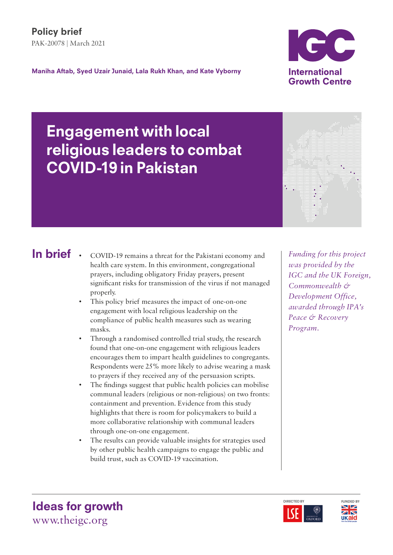Maniha Aftab, Syed Uzair Junaid, Lala Rukh Khan, and Kate Vyborny



Y.

# Engagement with local religious leaders to combat COVID-19 in Pakistan

## In brief .

- COVID-19 remains a threat for the Pakistani economy and health care system. In this environment, congregational prayers, including obligatory Friday prayers, present significant risks for transmission of the virus if not managed properly.
- This policy brief measures the impact of one-on-one engagement with local religious leadership on the compliance of public health measures such as wearing masks.
- Through a randomised controlled trial study, the research found that one-on-one engagement with religious leaders encourages them to impart health guidelines to congregants. Respondents were 25% more likely to advise wearing a mask to prayers if they received any of the persuasion scripts.
- The findings suggest that public health policies can mobilise communal leaders (religious or non-religious) on two fronts: containment and prevention. Evidence from this study highlights that there is room for policymakers to build a more collaborative relationship with communal leaders through one-on-one engagement.
- The results can provide valuable insights for strategies used by other public health campaigns to engage the public and build trust, such as COVID-19 vaccination.

*Funding for this project was provided by the IGC and the UK Foreign, Commonwealth & Development Office, awarded through IPA's Peace & Recovery Program.*





Ideas for growth www.theigc.org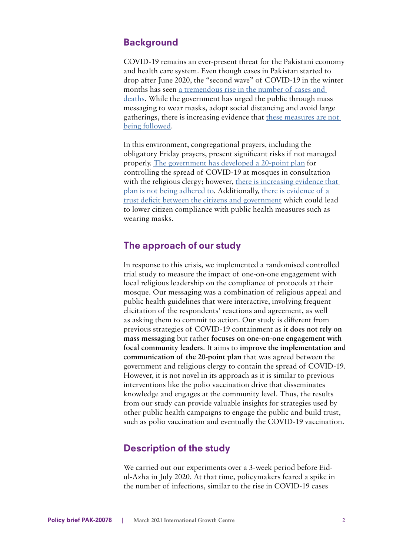#### **Background**

COVID-19 remains an ever-present threat for the Pakistani economy and health care system. Even though cases in Pakistan started to drop after June 2020, the "second wave" of COVID-19 in the winter months has seen <u>a tremendous rise</u> in the number of cases and deaths. While the government has urged the public through mass messaging to wear masks, adopt social distancing and avoid large gatherings, there is increasing evidence that these measures are not being followed.

In this environment, congregational prayers, including the obligatory Friday prayers, present significant risks if not managed properly. [The government has developed a 20-point plan](https://www.dawn.com/news/1550265) for controlling the spread of COVID-19 at mosques in consultation [with the religious clergy; however, there is increasing evidence that](https://www.dawn.com/news/1600074) [plan is not being adhered to. Additionally, there is evidence of a](http://hrcp-web.org/hrcpweb/wp-content/uploads/2020/08/Citizens-Covid19-Government-Pakistans-response-EN.pdf) trust deficit between the citizens and government which could lead to lower citizen compliance with public health measures such as wearing masks.

#### The approach of our study

In response to this crisis, we implemented a randomised controlled trial study to measure the impact of one-on-one engagement with local religious leadership on the compliance of protocols at their mosque. Our messaging was a combination of religious appeal and public health guidelines that were interactive, involving frequent elicitation of the respondents' reactions and agreement, as well as asking them to commit to action. Our study is different from previous strategies of COVID-19 containment as it **does not rely on mass messaging** but rather **focuses on one-on-one engagement with focal community leaders**. It aims to **improve the implementation and communication of the 20-point plan** that was agreed between the government and religious clergy to contain the spread of COVID-19. However, it is not novel in its approach as it is similar to previous interventions like the polio vaccination drive that disseminates knowledge and engages at the community level. Thus, the results from our study can provide valuable insights for strategies used by other public health campaigns to engage the public and build trust, such as polio vaccination and eventually the COVID-19 vaccination.

#### Description of the study

We carried out our experiments over a 3-week period before Eidul-Azha in July 2020. At that time, policymakers feared a spike in the number of infections, similar to the rise in COVID-19 cases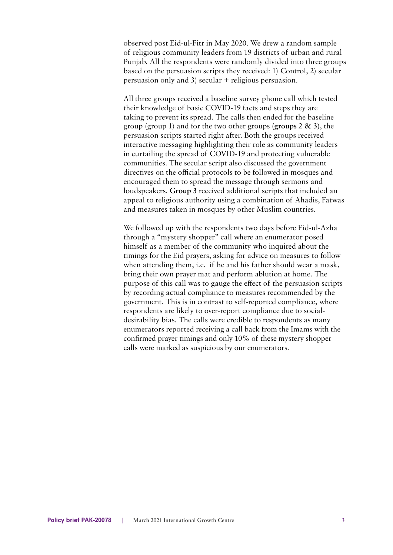observed post Eid-ul-Fitr in May 2020. We drew a random sample of religious community leaders from 19 districts of urban and rural Punjab. All the respondents were randomly divided into three groups based on the persuasion scripts they received: 1) Control, 2) secular persuasion only and 3) secular + religious persuasion.

All three groups received a baseline survey phone call which tested their knowledge of basic COVID-19 facts and steps they are taking to prevent its spread. The calls then ended for the baseline group (group 1) and for the two other groups **(groups 2 & 3)**, the persuasion scripts started right after. Both the groups received interactive messaging highlighting their role as community leaders in curtailing the spread of COVID-19 and protecting vulnerable communities. The secular script also discussed the government directives on the official protocols to be followed in mosques and encouraged them to spread the message through sermons and loudspeakers. **Group 3** received additional scripts that included an appeal to religious authority using a combination of Ahadis, Fatwas and measures taken in mosques by other Muslim countries.

We followed up with the respondents two days before Eid-ul-Azha through a "mystery shopper" call where an enumerator posed himself as a member of the community who inquired about the timings for the Eid prayers, asking for advice on measures to follow when attending them, i.e. if he and his father should wear a mask, bring their own prayer mat and perform ablution at home. The purpose of this call was to gauge the effect of the persuasion scripts by recording actual compliance to measures recommended by the government. This is in contrast to self-reported compliance, where respondents are likely to over-report compliance due to socialdesirability bias. The calls were credible to respondents as many enumerators reported receiving a call back from the Imams with the confirmed prayer timings and only 10% of these mystery shopper calls were marked as suspicious by our enumerators.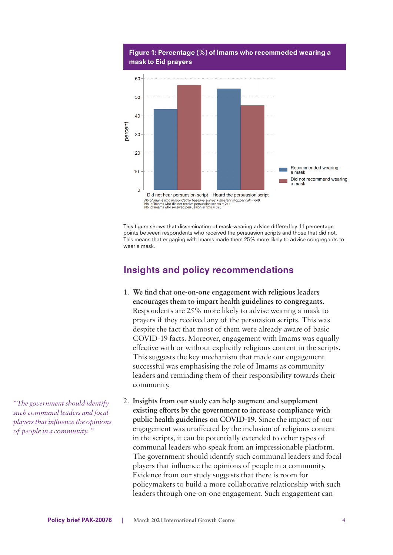

#### Figure 1: Percentage (%) of Imams who recommeded wearing a mask to Eid prayers

This figure shows that dissemination of mask-wearing advice differed by 11 percentage points between respondents who received the persuasion scripts and those that did not. This means that engaging with Imams made them 25% more likely to advise congregants to wear a mask.

### Insights and policy recommendations

- 1. **We find that one-on-one engagement with religious leaders encourages them to impart health guidelines to congregants.**  Respondents are 25% more likely to advise wearing a mask to prayers if they received any of the persuasion scripts. This was despite the fact that most of them were already aware of basic COVID-19 facts. Moreover, engagement with Imams was equally effective with or without explicitly religious content in the scripts. This suggests the key mechanism that made our engagement successful was emphasising the role of Imams as community leaders and reminding them of their responsibility towards their community.
- 2. **Insights from our study can help augment and supplement**  existing efforts by the government to increase compliance with **public health guidelines on COVID-19**. Since the impact of our engagement was unaffected by the inclusion of religious content in the scripts, it can be potentially extended to other types of communal leaders who speak from an impressionable platform. The government should identify such communal leaders and focal players that influence the opinions of people in a community. Evidence from our study suggests that there is room for policymakers to build a more collaborative relationship with such leaders through one-on-one engagement. Such engagement can

*"The governmentshould identify such communal leaders and focal playersthat influence the opinions of people in a community. "*